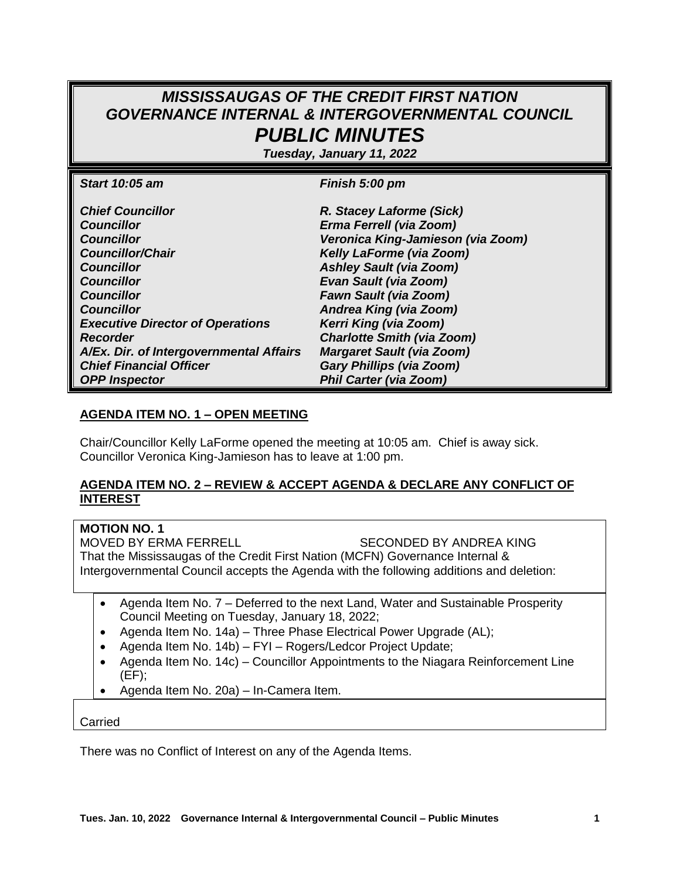# *MISSISSAUGAS OF THE CREDIT FIRST NATION GOVERNANCE INTERNAL & INTERGOVERNMENTAL COUNCIL PUBLIC MINUTES*

*Tuesday, January 11, 2022*

| Start 10:05 am                          | Finish 5:00 pm                    |
|-----------------------------------------|-----------------------------------|
|                                         |                                   |
| <b>Chief Councillor</b>                 | R. Stacey Laforme (Sick)          |
| <b>Councillor</b>                       | Erma Ferrell (via Zoom)           |
| <b>Councillor</b>                       | Veronica King-Jamieson (via Zoom) |
| <b>Councillor/Chair</b>                 | Kelly LaForme (via Zoom)          |
| <b>Councillor</b>                       | <b>Ashley Sault (via Zoom)</b>    |
| <b>Councillor</b>                       | <b>Evan Sault (via Zoom)</b>      |
| <b>Councillor</b>                       | <b>Fawn Sault (via Zoom)</b>      |
| <b>Councillor</b>                       | Andrea King (via Zoom)            |
| <b>Executive Director of Operations</b> | Kerri King (via Zoom)             |
| <b>Recorder</b>                         | <b>Charlotte Smith (via Zoom)</b> |
| A/Ex. Dir. of Intergovernmental Affairs | <b>Margaret Sault (via Zoom)</b>  |
| <b>Chief Financial Officer</b>          | <b>Gary Phillips (via Zoom)</b>   |
| <b>OPP Inspector</b>                    | <b>Phil Carter (via Zoom)</b>     |

#### **AGENDA ITEM NO. 1 – OPEN MEETING**

Chair/Councillor Kelly LaForme opened the meeting at 10:05 am. Chief is away sick. Councillor Veronica King-Jamieson has to leave at 1:00 pm.

#### **AGENDA ITEM NO. 2 – REVIEW & ACCEPT AGENDA & DECLARE ANY CONFLICT OF INTEREST**

# **MOTION NO. 1**

MOVED BY ERMA FERRELL SECONDED BY ANDREA KING That the Mississaugas of the Credit First Nation (MCFN) Governance Internal & Intergovernmental Council accepts the Agenda with the following additions and deletion:

- Agenda Item No. 7 Deferred to the next Land, Water and Sustainable Prosperity Council Meeting on Tuesday, January 18, 2022;
- Agenda Item No. 14a) Three Phase Electrical Power Upgrade (AL);
- Agenda Item No. 14b) FYI Rogers/Ledcor Project Update;
- Agenda Item No. 14c) Councillor Appointments to the Niagara Reinforcement Line (EF);
- Agenda Item No. 20a) In-Camera Item.

Carried

There was no Conflict of Interest on any of the Agenda Items.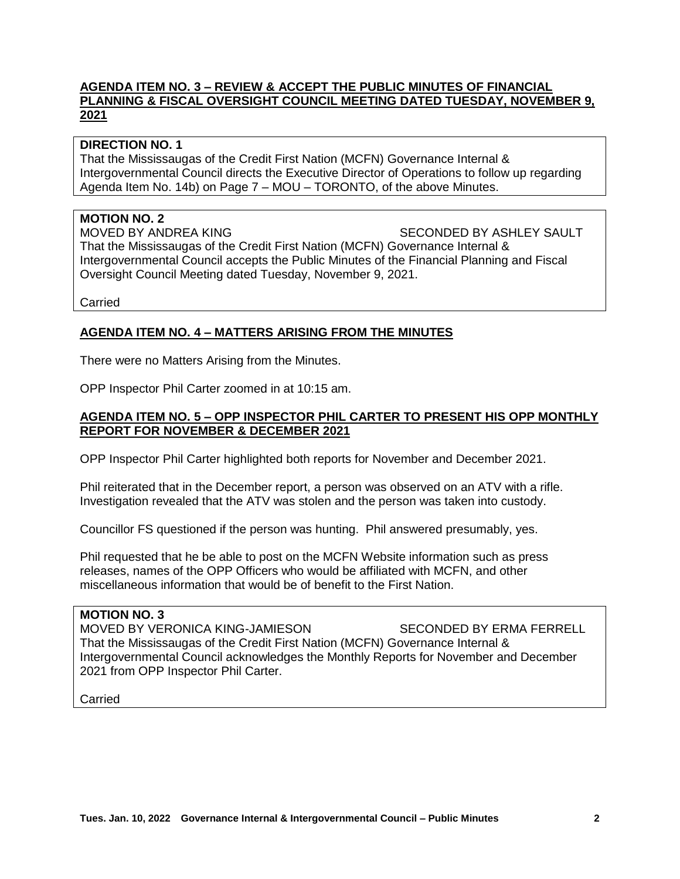#### **AGENDA ITEM NO. 3 – REVIEW & ACCEPT THE PUBLIC MINUTES OF FINANCIAL PLANNING & FISCAL OVERSIGHT COUNCIL MEETING DATED TUESDAY, NOVEMBER 9, 2021**

#### **DIRECTION NO. 1**

That the Mississaugas of the Credit First Nation (MCFN) Governance Internal & Intergovernmental Council directs the Executive Director of Operations to follow up regarding Agenda Item No. 14b) on Page 7 – MOU – TORONTO, of the above Minutes.

#### **MOTION NO. 2**

MOVED BY ANDREA KING SECONDED BY ASHLEY SAULT That the Mississaugas of the Credit First Nation (MCFN) Governance Internal & Intergovernmental Council accepts the Public Minutes of the Financial Planning and Fiscal Oversight Council Meeting dated Tuesday, November 9, 2021.

Carried

#### **AGENDA ITEM NO. 4 – MATTERS ARISING FROM THE MINUTES**

There were no Matters Arising from the Minutes.

OPP Inspector Phil Carter zoomed in at 10:15 am.

#### **AGENDA ITEM NO. 5 – OPP INSPECTOR PHIL CARTER TO PRESENT HIS OPP MONTHLY REPORT FOR NOVEMBER & DECEMBER 2021**

OPP Inspector Phil Carter highlighted both reports for November and December 2021.

Phil reiterated that in the December report, a person was observed on an ATV with a rifle. Investigation revealed that the ATV was stolen and the person was taken into custody.

Councillor FS questioned if the person was hunting. Phil answered presumably, yes.

Phil requested that he be able to post on the MCFN Website information such as press releases, names of the OPP Officers who would be affiliated with MCFN, and other miscellaneous information that would be of benefit to the First Nation.

#### **MOTION NO. 3**

MOVED BY VERONICA KING-JAMIESON SECONDED BY ERMA FERRELL That the Mississaugas of the Credit First Nation (MCFN) Governance Internal & Intergovernmental Council acknowledges the Monthly Reports for November and December 2021 from OPP Inspector Phil Carter.

Carried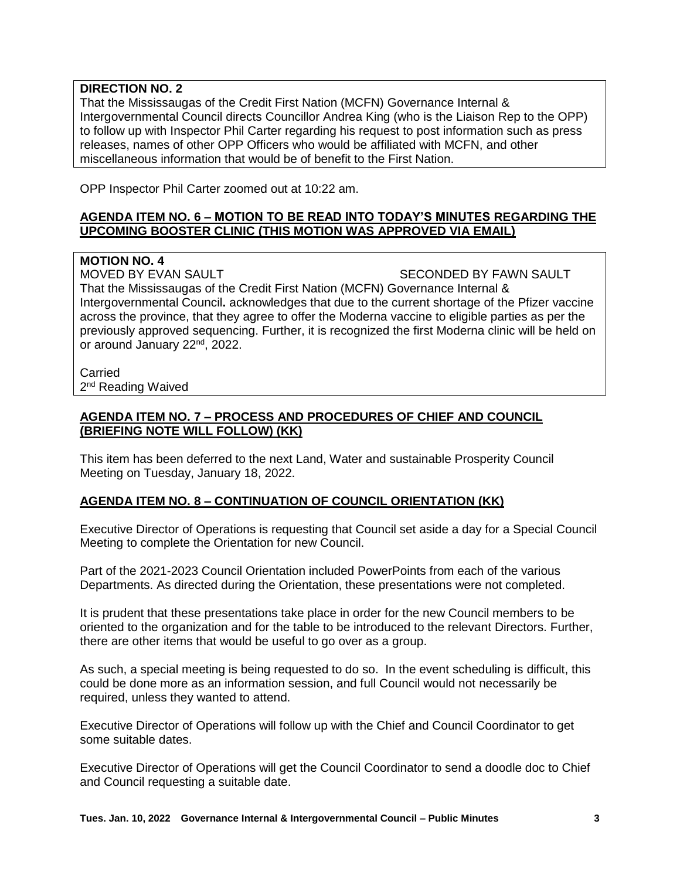## **DIRECTION NO. 2**

That the Mississaugas of the Credit First Nation (MCFN) Governance Internal & Intergovernmental Council directs Councillor Andrea King (who is the Liaison Rep to the OPP) to follow up with Inspector Phil Carter regarding his request to post information such as press releases, names of other OPP Officers who would be affiliated with MCFN, and other miscellaneous information that would be of benefit to the First Nation.

OPP Inspector Phil Carter zoomed out at 10:22 am.

#### **AGENDA ITEM NO. 6 – MOTION TO BE READ INTO TODAY'S MINUTES REGARDING THE UPCOMING BOOSTER CLINIC (THIS MOTION WAS APPROVED VIA EMAIL)**

**MOTION NO. 4** That the Mississaugas of the Credit First Nation (MCFN) Governance Internal &

Intergovernmental Council**.** acknowledges that due to the current shortage of the Pfizer vaccine across the province, that they agree to offer the Moderna vaccine to eligible parties as per the previously approved sequencing. Further, it is recognized the first Moderna clinic will be held on or around January 22nd, 2022.

SECONDED BY FAWN SAULT

**Carried** 2<sup>nd</sup> Reading Waived

#### **AGENDA ITEM NO. 7 – PROCESS AND PROCEDURES OF CHIEF AND COUNCIL (BRIEFING NOTE WILL FOLLOW) (KK)**

This item has been deferred to the next Land, Water and sustainable Prosperity Council Meeting on Tuesday, January 18, 2022.

#### **AGENDA ITEM NO. 8 – CONTINUATION OF COUNCIL ORIENTATION (KK)**

Executive Director of Operations is requesting that Council set aside a day for a Special Council Meeting to complete the Orientation for new Council.

Part of the 2021-2023 Council Orientation included PowerPoints from each of the various Departments. As directed during the Orientation, these presentations were not completed.

It is prudent that these presentations take place in order for the new Council members to be oriented to the organization and for the table to be introduced to the relevant Directors. Further, there are other items that would be useful to go over as a group.

As such, a special meeting is being requested to do so. In the event scheduling is difficult, this could be done more as an information session, and full Council would not necessarily be required, unless they wanted to attend.

Executive Director of Operations will follow up with the Chief and Council Coordinator to get some suitable dates.

Executive Director of Operations will get the Council Coordinator to send a doodle doc to Chief and Council requesting a suitable date.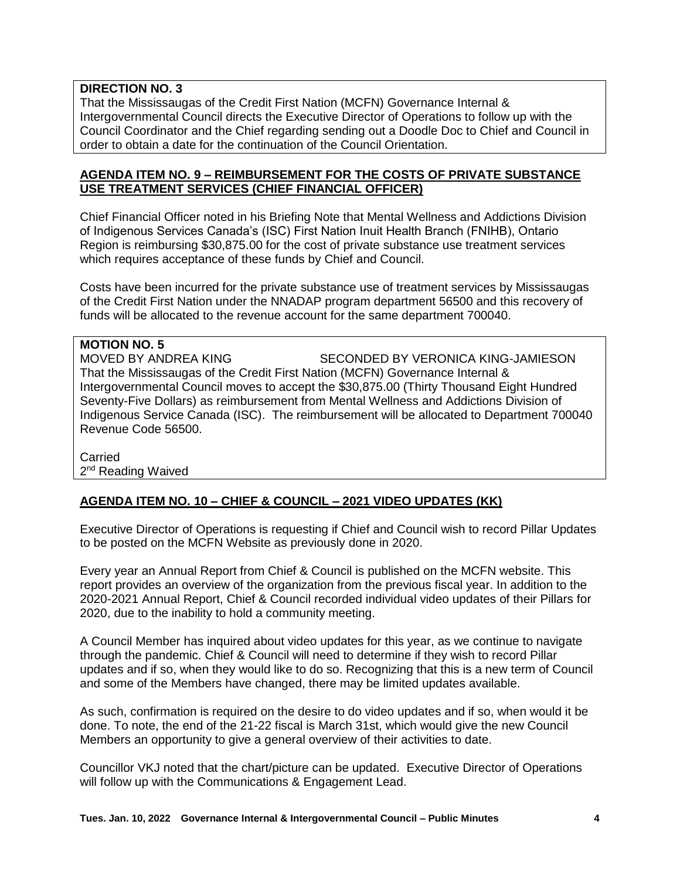## **DIRECTION NO. 3**

That the Mississaugas of the Credit First Nation (MCFN) Governance Internal & Intergovernmental Council directs the Executive Director of Operations to follow up with the Council Coordinator and the Chief regarding sending out a Doodle Doc to Chief and Council in order to obtain a date for the continuation of the Council Orientation.

#### **AGENDA ITEM NO. 9 – REIMBURSEMENT FOR THE COSTS OF PRIVATE SUBSTANCE USE TREATMENT SERVICES (CHIEF FINANCIAL OFFICER)**

Chief Financial Officer noted in his Briefing Note that Mental Wellness and Addictions Division of Indigenous Services Canada's (ISC) First Nation Inuit Health Branch (FNIHB), Ontario Region is reimbursing \$30,875.00 for the cost of private substance use treatment services which requires acceptance of these funds by Chief and Council.

Costs have been incurred for the private substance use of treatment services by Mississaugas of the Credit First Nation under the NNADAP program department 56500 and this recovery of funds will be allocated to the revenue account for the same department 700040.

# **MOTION NO. 5**

MOVED BY ANDREA KING SECONDED BY VERONICA KING-JAMIESON That the Mississaugas of the Credit First Nation (MCFN) Governance Internal & Intergovernmental Council moves to accept the \$30,875.00 (Thirty Thousand Eight Hundred Seventy-Five Dollars) as reimbursement from Mental Wellness and Addictions Division of Indigenous Service Canada (ISC). The reimbursement will be allocated to Department 700040 Revenue Code 56500.

**Carried** 2<sup>nd</sup> Reading Waived

# **AGENDA ITEM NO. 10 – CHIEF & COUNCIL – 2021 VIDEO UPDATES (KK)**

Executive Director of Operations is requesting if Chief and Council wish to record Pillar Updates to be posted on the MCFN Website as previously done in 2020.

Every year an Annual Report from Chief & Council is published on the MCFN website. This report provides an overview of the organization from the previous fiscal year. In addition to the 2020-2021 Annual Report, Chief & Council recorded individual video updates of their Pillars for 2020, due to the inability to hold a community meeting.

A Council Member has inquired about video updates for this year, as we continue to navigate through the pandemic. Chief & Council will need to determine if they wish to record Pillar updates and if so, when they would like to do so. Recognizing that this is a new term of Council and some of the Members have changed, there may be limited updates available.

As such, confirmation is required on the desire to do video updates and if so, when would it be done. To note, the end of the 21-22 fiscal is March 31st, which would give the new Council Members an opportunity to give a general overview of their activities to date.

Councillor VKJ noted that the chart/picture can be updated. Executive Director of Operations will follow up with the Communications & Engagement Lead.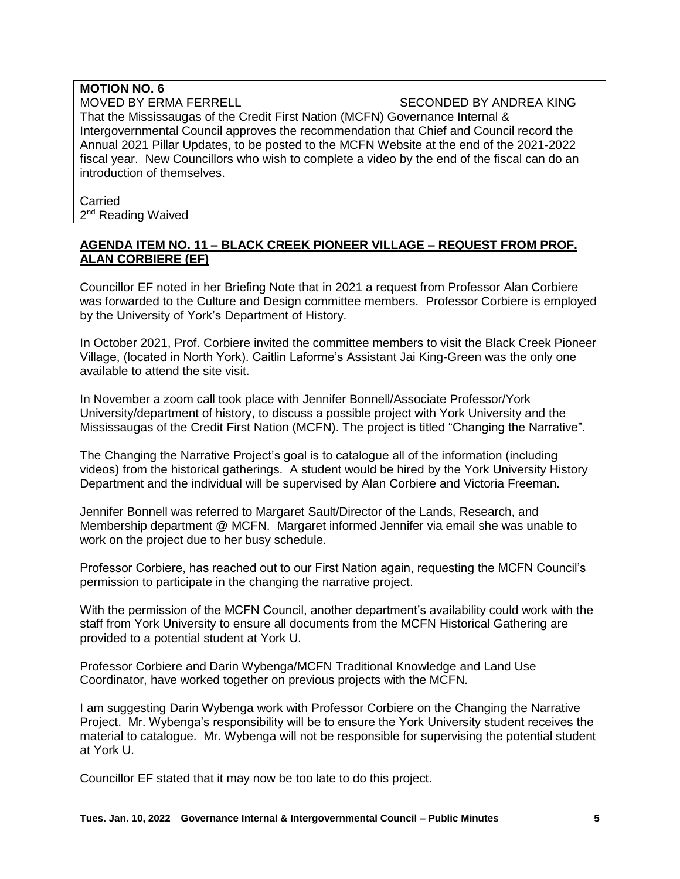#### **MOTION NO. 6** MOVED BY ERMA FERRELL SECONDED BY ANDREA KING That the Mississaugas of the Credit First Nation (MCFN) Governance Internal & Intergovernmental Council approves the recommendation that Chief and Council record the Annual 2021 Pillar Updates, to be posted to the MCFN Website at the end of the 2021-2022 fiscal year. New Councillors who wish to complete a video by the end of the fiscal can do an introduction of themselves.

Carried 2<sup>nd</sup> Reading Waived

#### **AGENDA ITEM NO. 11 – BLACK CREEK PIONEER VILLAGE – REQUEST FROM PROF. ALAN CORBIERE (EF)**

Councillor EF noted in her Briefing Note that in 2021 a request from Professor Alan Corbiere was forwarded to the Culture and Design committee members. Professor Corbiere is employed by the University of York's Department of History.

In October 2021, Prof. Corbiere invited the committee members to visit the Black Creek Pioneer Village, (located in North York). Caitlin Laforme's Assistant Jai King-Green was the only one available to attend the site visit.

In November a zoom call took place with Jennifer Bonnell/Associate Professor/York University/department of history, to discuss a possible project with York University and the Mississaugas of the Credit First Nation (MCFN). The project is titled "Changing the Narrative".

The Changing the Narrative Project's goal is to catalogue all of the information (including videos) from the historical gatherings. A student would be hired by the York University History Department and the individual will be supervised by Alan Corbiere and Victoria Freeman.

Jennifer Bonnell was referred to Margaret Sault/Director of the Lands, Research, and Membership department @ MCFN. Margaret informed Jennifer via email she was unable to work on the project due to her busy schedule.

Professor Corbiere, has reached out to our First Nation again, requesting the MCFN Council's permission to participate in the changing the narrative project.

With the permission of the MCFN Council, another department's availability could work with the staff from York University to ensure all documents from the MCFN Historical Gathering are provided to a potential student at York U.

Professor Corbiere and Darin Wybenga/MCFN Traditional Knowledge and Land Use Coordinator, have worked together on previous projects with the MCFN.

I am suggesting Darin Wybenga work with Professor Corbiere on the Changing the Narrative Project. Mr. Wybenga's responsibility will be to ensure the York University student receives the material to catalogue. Mr. Wybenga will not be responsible for supervising the potential student at York U.

Councillor EF stated that it may now be too late to do this project.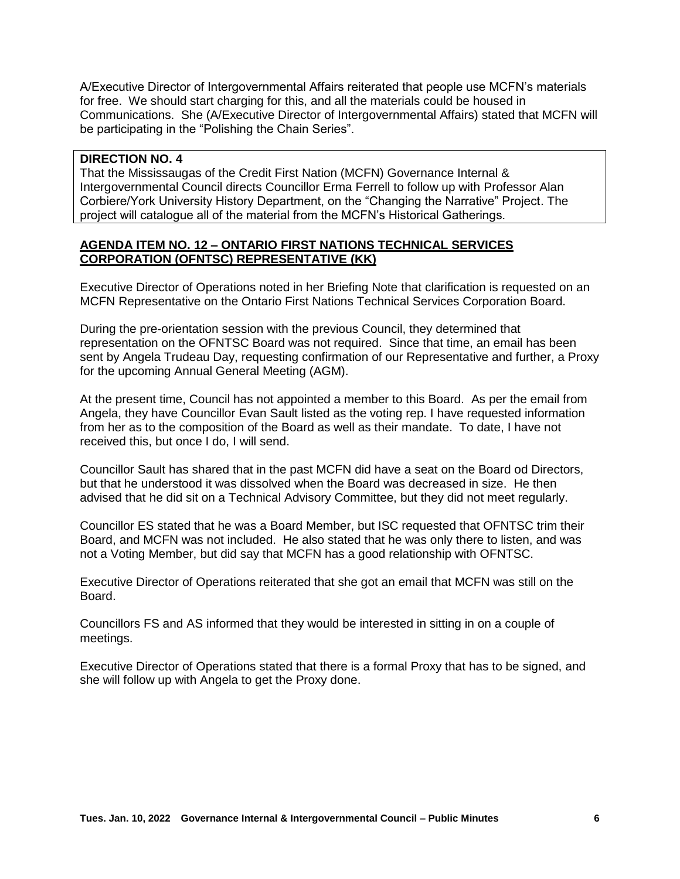A/Executive Director of Intergovernmental Affairs reiterated that people use MCFN's materials for free. We should start charging for this, and all the materials could be housed in Communications. She (A/Executive Director of Intergovernmental Affairs) stated that MCFN will be participating in the "Polishing the Chain Series".

#### **DIRECTION NO. 4**

That the Mississaugas of the Credit First Nation (MCFN) Governance Internal & Intergovernmental Council directs Councillor Erma Ferrell to follow up with Professor Alan Corbiere/York University History Department, on the "Changing the Narrative" Project. The project will catalogue all of the material from the MCFN's Historical Gatherings.

#### **AGENDA ITEM NO. 12 – ONTARIO FIRST NATIONS TECHNICAL SERVICES CORPORATION (OFNTSC) REPRESENTATIVE (KK)**

Executive Director of Operations noted in her Briefing Note that clarification is requested on an MCFN Representative on the Ontario First Nations Technical Services Corporation Board.

During the pre-orientation session with the previous Council, they determined that representation on the OFNTSC Board was not required. Since that time, an email has been sent by Angela Trudeau Day, requesting confirmation of our Representative and further, a Proxy for the upcoming Annual General Meeting (AGM).

At the present time, Council has not appointed a member to this Board. As per the email from Angela, they have Councillor Evan Sault listed as the voting rep. I have requested information from her as to the composition of the Board as well as their mandate. To date, I have not received this, but once I do, I will send.

Councillor Sault has shared that in the past MCFN did have a seat on the Board od Directors, but that he understood it was dissolved when the Board was decreased in size. He then advised that he did sit on a Technical Advisory Committee, but they did not meet regularly.

Councillor ES stated that he was a Board Member, but ISC requested that OFNTSC trim their Board, and MCFN was not included. He also stated that he was only there to listen, and was not a Voting Member, but did say that MCFN has a good relationship with OFNTSC.

Executive Director of Operations reiterated that she got an email that MCFN was still on the Board.

Councillors FS and AS informed that they would be interested in sitting in on a couple of meetings.

Executive Director of Operations stated that there is a formal Proxy that has to be signed, and she will follow up with Angela to get the Proxy done.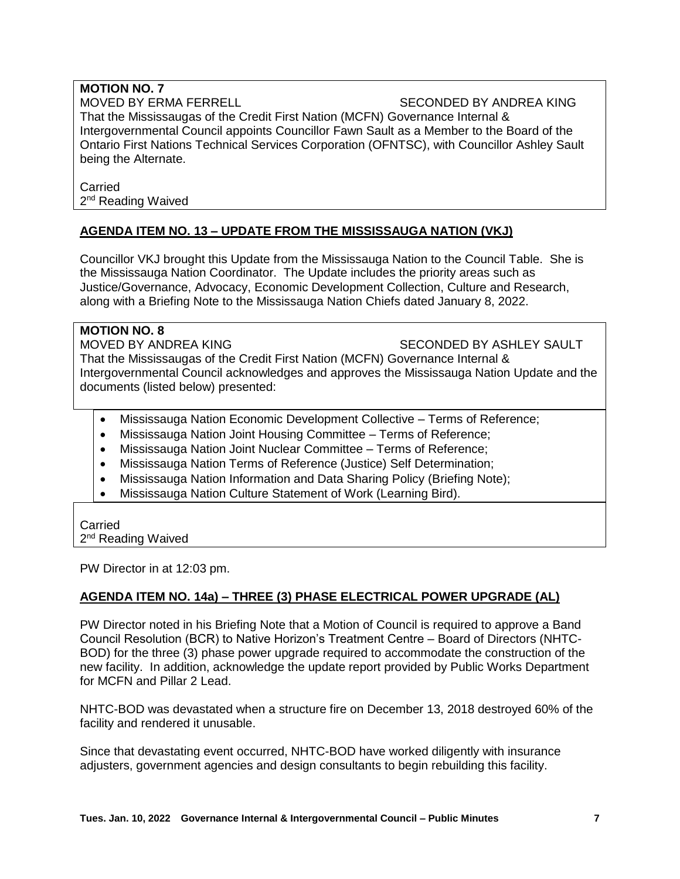# **MOTION NO. 7**

#### MOVED BY ERMA FERRELL SECONDED BY ANDREA KING

That the Mississaugas of the Credit First Nation (MCFN) Governance Internal & Intergovernmental Council appoints Councillor Fawn Sault as a Member to the Board of the Ontario First Nations Technical Services Corporation (OFNTSC), with Councillor Ashley Sault being the Alternate.

#### Carried 2<sup>nd</sup> Reading Waived

# **AGENDA ITEM NO. 13 – UPDATE FROM THE MISSISSAUGA NATION (VKJ)**

Councillor VKJ brought this Update from the Mississauga Nation to the Council Table. She is the Mississauga Nation Coordinator. The Update includes the priority areas such as Justice/Governance, Advocacy, Economic Development Collection, Culture and Research, along with a Briefing Note to the Mississauga Nation Chiefs dated January 8, 2022.

#### **MOTION NO. 8**

#### MOVED BY ANDREA KING SECONDED BY ASHLEY SAULT

That the Mississaugas of the Credit First Nation (MCFN) Governance Internal & Intergovernmental Council acknowledges and approves the Mississauga Nation Update and the documents (listed below) presented:

- Mississauga Nation Economic Development Collective Terms of Reference;
- Mississauga Nation Joint Housing Committee Terms of Reference;
- Mississauga Nation Joint Nuclear Committee Terms of Reference;
- Mississauga Nation Terms of Reference (Justice) Self Determination;
- Mississauga Nation Information and Data Sharing Policy (Briefing Note);
- Mississauga Nation Culture Statement of Work (Learning Bird).

# Carried

2<sup>nd</sup> Reading Waived

PW Director in at 12:03 pm.

# **AGENDA ITEM NO. 14a) – THREE (3) PHASE ELECTRICAL POWER UPGRADE (AL)**

PW Director noted in his Briefing Note that a Motion of Council is required to approve a Band Council Resolution (BCR) to Native Horizon's Treatment Centre – Board of Directors (NHTC-BOD) for the three (3) phase power upgrade required to accommodate the construction of the new facility. In addition, acknowledge the update report provided by Public Works Department for MCFN and Pillar 2 Lead.

NHTC-BOD was devastated when a structure fire on December 13, 2018 destroyed 60% of the facility and rendered it unusable.

Since that devastating event occurred, NHTC-BOD have worked diligently with insurance adjusters, government agencies and design consultants to begin rebuilding this facility.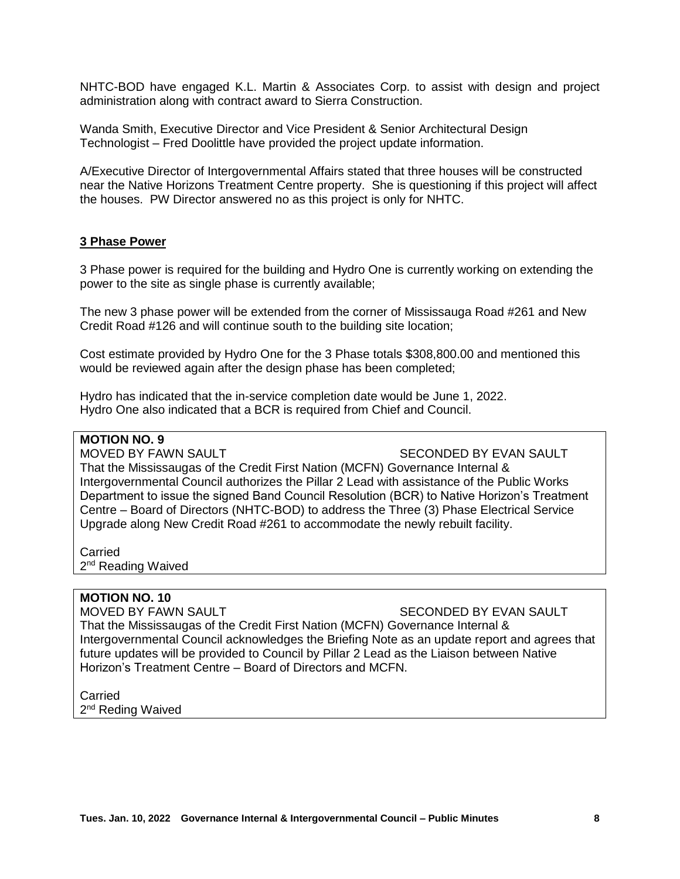NHTC-BOD have engaged K.L. Martin & Associates Corp. to assist with design and project administration along with contract award to Sierra Construction.

Wanda Smith, Executive Director and Vice President & Senior Architectural Design Technologist – Fred Doolittle have provided the project update information.

A/Executive Director of Intergovernmental Affairs stated that three houses will be constructed near the Native Horizons Treatment Centre property. She is questioning if this project will affect the houses. PW Director answered no as this project is only for NHTC.

#### **3 Phase Power**

3 Phase power is required for the building and Hydro One is currently working on extending the power to the site as single phase is currently available;

The new 3 phase power will be extended from the corner of Mississauga Road #261 and New Credit Road #126 and will continue south to the building site location;

Cost estimate provided by Hydro One for the 3 Phase totals \$308,800.00 and mentioned this would be reviewed again after the design phase has been completed;

Hydro has indicated that the in-service completion date would be June 1, 2022. Hydro One also indicated that a BCR is required from Chief and Council.

# **MOTION NO. 9**

MOVED BY FAWN SAULT SECONDED BY EVAN SAULT

That the Mississaugas of the Credit First Nation (MCFN) Governance Internal & Intergovernmental Council authorizes the Pillar 2 Lead with assistance of the Public Works Department to issue the signed Band Council Resolution (BCR) to Native Horizon's Treatment Centre – Board of Directors (NHTC-BOD) to address the Three (3) Phase Electrical Service Upgrade along New Credit Road #261 to accommodate the newly rebuilt facility.

Carried 2<sup>nd</sup> Reading Waived

#### **MOTION NO. 10**

MOVED BY FAWN SAULT SECONDED BY EVAN SAULT

That the Mississaugas of the Credit First Nation (MCFN) Governance Internal & Intergovernmental Council acknowledges the Briefing Note as an update report and agrees that future updates will be provided to Council by Pillar 2 Lead as the Liaison between Native Horizon's Treatment Centre – Board of Directors and MCFN.

**Carried** 2<sup>nd</sup> Reding Waived